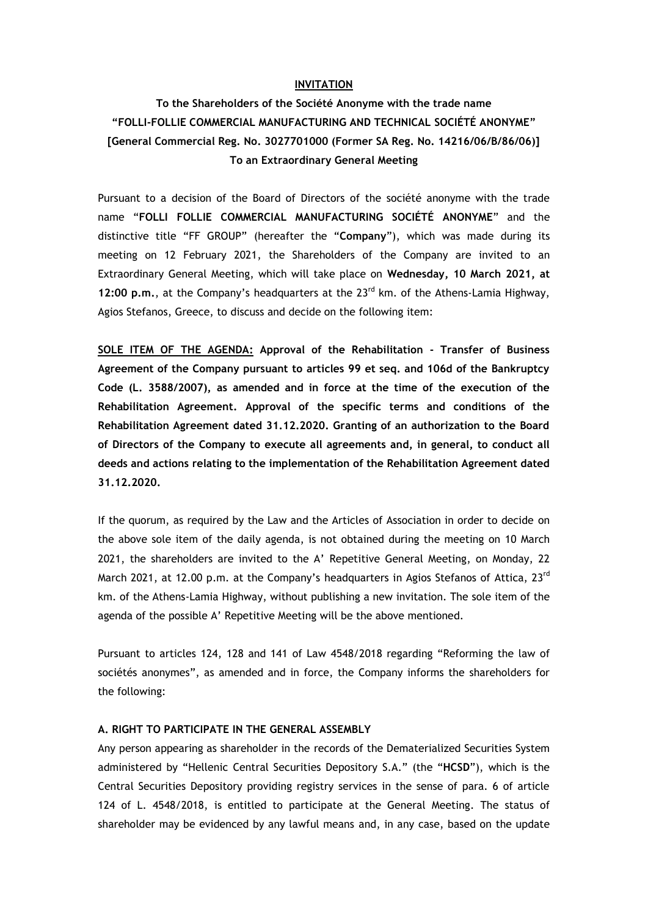## **INVITATION**

# **To the Shareholders of the Société Anonyme with the trade name "FOLLI-FOLLIE COMMERCIAL MANUFACTURING AND TECHNICAL SOCIÉTÉ ANONYME" [General Commercial Reg. No. 3027701000 (Former SA Reg. No. 14216/06/B/86/06)] To an Extraordinary General Meeting**

Pursuant to a decision of the Board of Directors of the société anonyme with the trade name "**FOLLI FOLLIE COMMERCIAL MANUFACTURING SOCIÉTÉ ANONYME**" and the distinctive title "FF GROUP" (hereafter the "**Company**"), which was made during its meeting on 12 February 2021, the Shareholders of the Company are invited to an Extraordinary General Meeting, which will take place on **Wednesday, 10 March 2021, at 12:00 p.m.**, at the Company's headquarters at the 23<sup>rd</sup> km. of the Athens-Lamia Highway, Agios Stefanos, Greece, to discuss and decide on the following item:

**SOLE ITEM OF THE AGENDA: Approval of the Rehabilitation - Transfer of Business Agreement of the Company pursuant to articles 99 et seq. and 106d of the Bankruptcy Code (L. 3588/2007), as amended and in force at the time of the execution of the Rehabilitation Agreement. Approval of the specific terms and conditions of the Rehabilitation Agreement dated 31.12.2020. Granting of an authorization to the Board of Directors of the Company to execute all agreements and, in general, to conduct all deeds and actions relating to the implementation of the Rehabilitation Agreement dated 31.12.2020.**

If the quorum, as required by the Law and the Articles of Association in order to decide on the above sole item of the daily agenda, is not obtained during the meeting on 10 March 2021, the shareholders are invited to the A' Repetitive General Meeting, on Monday, 22 March 2021, at 12.00 p.m. at the Company's headquarters in Agios Stefanos of Attica, 23<sup>rd</sup> km. of the Athens-Lamia Highway, without publishing a new invitation. The sole item of the agenda of the possible A' Repetitive Meeting will be the above mentioned.

Pursuant to articles 124, 128 and 141 of Law 4548/2018 regarding "Reforming the law of sociétés anonymes", as amended and in force, the Company informs the shareholders for the following:

#### **A. RIGHT TO PARTICIPATE IN THE GENERAL ASSEMBLY**

Any person appearing as shareholder in the records of the Dematerialized Securities System administered by "Hellenic Central Securities Depository S.A." (the "**HCSD**"), which is the Central Securities Depository providing registry services in the sense of para. 6 of article 124 of L. 4548/2018, is entitled to participate at the General Meeting. The status of shareholder may be evidenced by any lawful means and, in any case, based on the update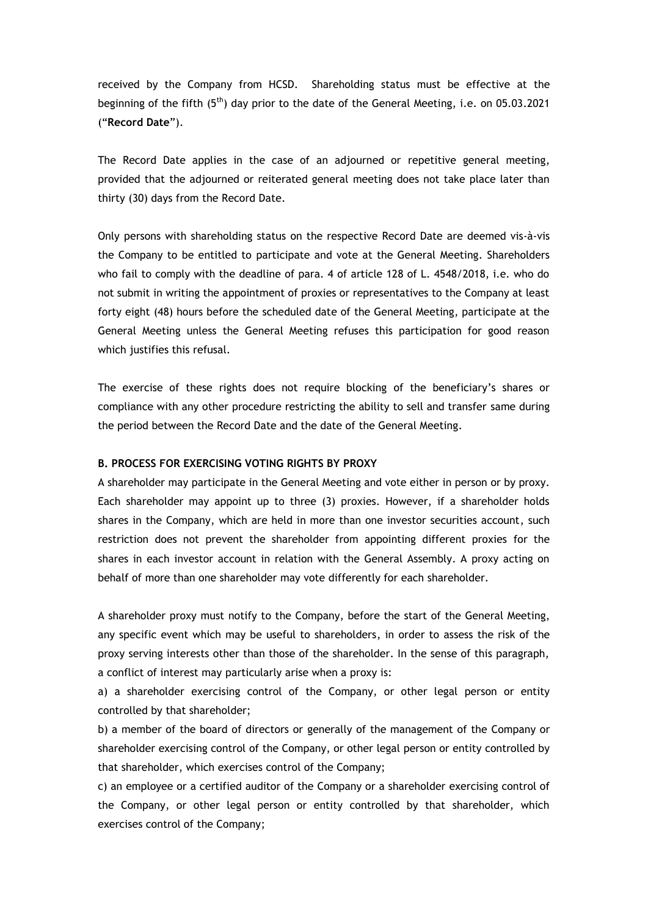received by the Company from HCSD. Shareholding status must be effective at the beginning of the fifth  $(5<sup>th</sup>)$  day prior to the date of the General Meeting, i.e. on 05.03.2021 ("**Record Date**").

The Record Date applies in the case of an adjourned or repetitive general meeting, provided that the adjourned or reiterated general meeting does not take place later than thirty (30) days from the Record Date.

Only persons with shareholding status on the respective Record Date are deemed vis-à-vis the Company to be entitled to participate and vote at the General Meeting. Shareholders who fail to comply with the deadline of para. 4 of article 128 of L. 4548/2018, i.e. who do not submit in writing the appointment of proxies or representatives to the Company at least forty eight (48) hours before the scheduled date of the General Meeting, participate at the General Meeting unless the General Meeting refuses this participation for good reason which justifies this refusal.

The exercise of these rights does not require blocking of the beneficiary's shares or compliance with any other procedure restricting the ability to sell and transfer same during the period between the Record Date and the date of the General Meeting.

### **B. PROCESS FOR EXERCISING VOTING RIGHTS BY PROXY**

A shareholder may participate in the General Meeting and vote either in person or by proxy. Each shareholder may appoint up to three (3) proxies. However, if a shareholder holds shares in the Company, which are held in more than one investor securities account, such restriction does not prevent the shareholder from appointing different proxies for the shares in each investor account in relation with the General Assembly. A proxy acting on behalf of more than one shareholder may vote differently for each shareholder.

A shareholder proxy must notify to the Company, before the start of the General Meeting, any specific event which may be useful to shareholders, in order to assess the risk of the proxy serving interests other than those of the shareholder. In the sense of this paragraph, a conflict of interest may particularly arise when a proxy is:

a) a shareholder exercising control of the Company, or other legal person or entity controlled by that shareholder;

b) a member of the board of directors or generally of the management of the Company or shareholder exercising control of the Company, or other legal person or entity controlled by that shareholder, which exercises control of the Company;

c) an employee or a certified auditor of the Company or a shareholder exercising control of the Company, or other legal person or entity controlled by that shareholder, which exercises control of the Company;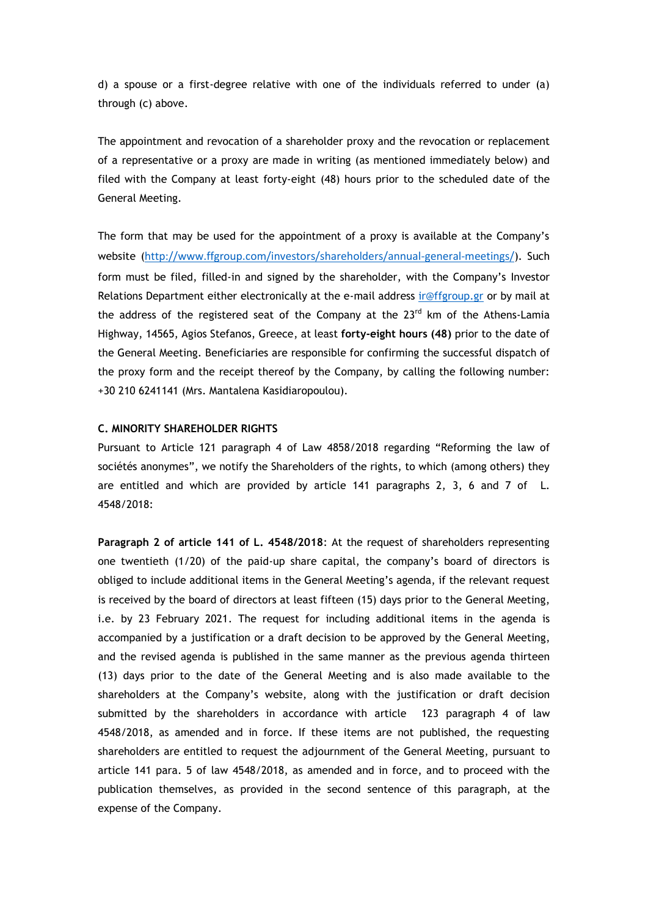d) a spouse or a first-degree relative with one of the individuals referred to under (a) through (c) above.

The appointment and revocation of a shareholder proxy and the revocation or replacement of a representative or a proxy are made in writing (as mentioned immediately below) and filed with the Company at least forty-eight (48) hours prior to the scheduled date of the General Meeting.

The form that may be used for the appointment of a proxy is available at the Company's website (<http://www.ffgroup.com/investors/shareholders/annual-general-meetings/>). Such form must be filed, filled-in and signed by the shareholder, with the Company's Investor Relations Department either electronically at the e-mail address [ir@ffgroup.gr](mailto:ir@ffgroup.gr) or by mail at the address of the registered seat of the Company at the  $23<sup>rd</sup>$  km of the Athens-Lamia Highway, 14565, Agios Stefanos, Greece, at least **forty-eight hours (48)** prior to the date of the General Meeting. Beneficiaries are responsible for confirming the successful dispatch of the proxy form and the receipt thereof by the Company, by calling the following number: +30 210 6241141 (Mrs. Mantalena Kasidiaropoulou).

### **C. MINORITY SHAREHOLDER RIGHTS**

Pursuant to Article 121 paragraph 4 of Law 4858/2018 regarding "Reforming the law of sociétés anonymes", we notify the Shareholders of the rights, to which (among others) they are entitled and which are provided by article 141 paragraphs 2, 3, 6 and 7 of L. 4548/2018:

**Paragraph 2 of article 141 of L. 4548/2018**: At the request of shareholders representing one twentieth (1/20) of the paid-up share capital, the company's board of directors is obliged to include additional items in the General Meeting's agenda, if the relevant request is received by the board of directors at least fifteen (15) days prior to the General Meeting, i.e. by 23 February 2021. The request for including additional items in the agenda is accompanied by a justification or a draft decision to be approved by the General Meeting, and the revised agenda is published in the same manner as the previous agenda thirteen (13) days prior to the date of the General Meeting and is also made available to the shareholders at the Company's website, along with the justification or draft decision submitted by the shareholders in accordance with article 123 paragraph 4 of law 4548/2018, as amended and in force. If these items are not published, the requesting shareholders are entitled to request the adjournment of the General Meeting, pursuant to article 141 para. 5 of law 4548/2018, as amended and in force, and to proceed with the publication themselves, as provided in the second sentence of this paragraph, at the expense of the Company.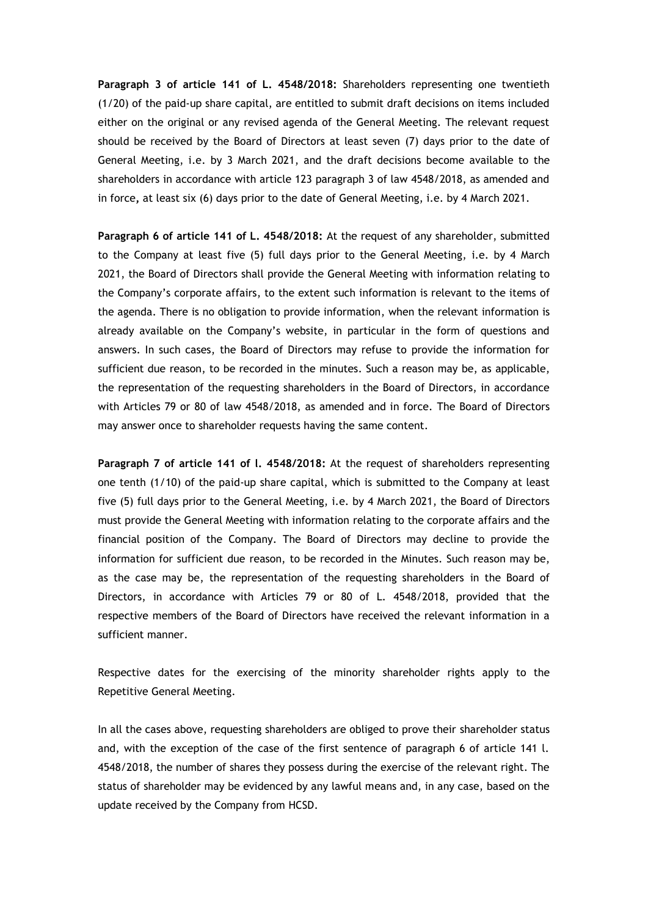**Paragraph 3 of article 141 of L. 4548/2018:** Shareholders representing one twentieth (1/20) of the paid-up share capital, are entitled to submit draft decisions on items included either on the original or any revised agenda of the General Meeting. The relevant request should be received by the Board of Directors at least seven (7) days prior to the date of General Meeting, i.e. by 3 March 2021, and the draft decisions become available to the shareholders in accordance with article 123 paragraph 3 of law 4548/2018, as amended and in force**,** at least six (6) days prior to the date of General Meeting, i.e. by 4 March 2021.

**Paragraph 6 of article 141 of L. 4548/2018:** At the request of any shareholder, submitted to the Company at least five (5) full days prior to the General Meeting, i.e. by 4 March 2021, the Board of Directors shall provide the General Meeting with information relating to the Company's corporate affairs, to the extent such information is relevant to the items of the agenda. There is no obligation to provide information, when the relevant information is already available on the Company's website, in particular in the form of questions and answers. In such cases, the Board of Directors may refuse to provide the information for sufficient due reason, to be recorded in the minutes. Such a reason may be, as applicable, the representation of the requesting shareholders in the Board of Directors, in accordance with Articles 79 or 80 of law 4548/2018, as amended and in force. The Board of Directors may answer once to shareholder requests having the same content.

**Paragraph 7 of article 141 of l. 4548/2018:** At the request of shareholders representing one tenth (1/10) of the paid-up share capital, which is submitted to the Company at least five (5) full days prior to the General Meeting, i.e. by 4 March 2021, the Board of Directors must provide the General Meeting with information relating to the corporate affairs and the financial position of the Company. The Board of Directors may decline to provide the information for sufficient due reason, to be recorded in the Minutes. Such reason may be, as the case may be, the representation of the requesting shareholders in the Board of Directors, in accordance with Articles 79 or 80 of L. 4548/2018, provided that the respective members of the Board of Directors have received the relevant information in a sufficient manner.

Respective dates for the exercising of the minority shareholder rights apply to the Repetitive General Meeting.

In all the cases above, requesting shareholders are obliged to prove their shareholder status and, with the exception of the case of the first sentence of paragraph 6 of article 141 l. 4548/2018, the number of shares they possess during the exercise of the relevant right. The status of shareholder may be evidenced by any lawful means and, in any case, based on the update received by the Company from HCSD.